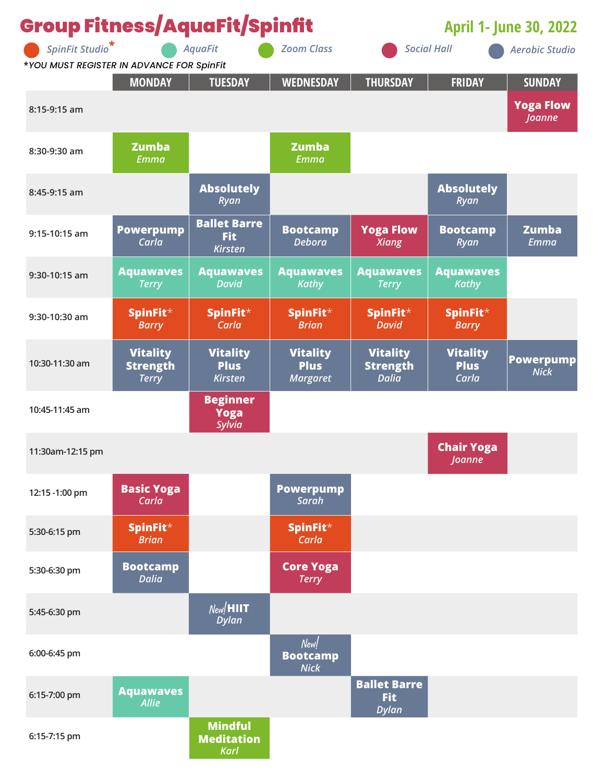| <b>Group Fitness/AquaFit/Spinfit</b>                                                                                                                           |                                                    |                                                     |                                                   |                                                    | <b>April 1- June 30, 2022</b>           |                                 |  |
|----------------------------------------------------------------------------------------------------------------------------------------------------------------|----------------------------------------------------|-----------------------------------------------------|---------------------------------------------------|----------------------------------------------------|-----------------------------------------|---------------------------------|--|
| SpinFit Studio <sup>*</sup><br><b>AquaFit</b><br><b>Zoom Class</b><br><b>Social Hall</b><br><b>Aerobic Studio</b><br>*YOU MUST REGISTER IN ADVANCE FOR SpinFit |                                                    |                                                     |                                                   |                                                    |                                         |                                 |  |
|                                                                                                                                                                | <b>MONDAY</b>                                      | <b>TUESDAY</b>                                      | <b>WEDNESDAY</b>                                  | <b>THURSDAY</b>                                    | <b>FRIDAY</b>                           | <b>SUNDAY</b>                   |  |
| 8:15-9:15 am                                                                                                                                                   |                                                    |                                                     |                                                   |                                                    |                                         | <b>Yoga Flow</b><br>Joanne      |  |
| 8:30-9:30 am                                                                                                                                                   | <b>Zumba</b><br><b>Emma</b>                        |                                                     | Zumba<br><b>Emma</b>                              |                                                    |                                         |                                 |  |
| 8:45-9:15 am                                                                                                                                                   |                                                    | <b>Absolutely</b><br>Ryan                           |                                                   |                                                    | <b>Absolutely</b><br>Ryan               |                                 |  |
| 9:15-10:15 am                                                                                                                                                  | <b>Powerpump</b><br>Carla                          | <b>Ballet Barre</b><br><b>Fit</b><br><b>Kirsten</b> | <b>Bootcamp</b><br><b>Debora</b>                  | <b>Yoga Flow</b><br><b>Xiang</b>                   | <b>Bootcamp</b><br><b>Ryan</b>          | <b>Zumba</b><br><b>Emma</b>     |  |
| 9:30-10:15 am                                                                                                                                                  | <b>Aquawaves</b><br><b>Terry</b>                   | <b>Aquawaves</b><br><b>David</b>                    | <b>Aquawaves</b><br><b>Kathy</b>                  | <b>Aquawaves</b><br><b>Terry</b>                   | <b>Aquawaves</b><br><b>Kathy</b>        |                                 |  |
| 9:30-10:30 am                                                                                                                                                  | SpinFit*<br><b>Barry</b>                           | SpinFit*<br>Carla                                   | SpinFit*<br><b>Brian</b>                          | SpinFit*<br><b>David</b>                           | SpinFit*<br><b>Barry</b>                |                                 |  |
| 10:30-11:30 am                                                                                                                                                 | <b>Vitality</b><br><b>Strength</b><br><b>Terry</b> | <b>Vitality</b><br><b>Plus</b><br><b>Kirsten</b>    | <b>Vitality</b><br><b>Plus</b><br><b>Margaret</b> | <b>Vitality</b><br><b>Strength</b><br><b>Dalia</b> | <b>Vitality</b><br><b>Plus</b><br>Carla | <b>Powerpump</b><br><b>Nick</b> |  |
| 10:45-11:45 am                                                                                                                                                 |                                                    | <b>Beginner</b><br><b>Yoga</b><br><b>Sylvia</b>     |                                                   |                                                    |                                         |                                 |  |
| 11:30am-12:15 pm                                                                                                                                               |                                                    |                                                     |                                                   |                                                    | <b>Chair Yoga</b><br>Joanne             |                                 |  |
| 12:15 -1:00 pm                                                                                                                                                 | <b>Basic Yoga</b><br>Carla                         |                                                     | <b>Powerpump</b><br>Sarah                         |                                                    |                                         |                                 |  |
| 5:30-6:15 pm                                                                                                                                                   | SpinFit*<br><b>Brian</b>                           |                                                     | SpinFit*<br>Carla                                 |                                                    |                                         |                                 |  |
| 5:30-6:30 pm                                                                                                                                                   | <b>Bootcamp</b><br><b>Dalia</b>                    |                                                     | <b>Core Yoga</b><br><b>Terry</b>                  |                                                    |                                         |                                 |  |
| 5:45-6:30 pm                                                                                                                                                   |                                                    | New/HIIT<br><b>Dylan</b>                            |                                                   |                                                    |                                         |                                 |  |
| 6:00-6:45 pm                                                                                                                                                   |                                                    |                                                     | New!<br><b>Bootcamp</b><br><b>Nick</b>            |                                                    |                                         |                                 |  |
| 6:15-7:00 pm                                                                                                                                                   | <b>Aquawaves</b><br><b>Allie</b>                   |                                                     |                                                   | <b>Ballet Barre</b><br><b>Fit</b><br><b>Dylan</b>  |                                         |                                 |  |
| 6:15-7:15 pm                                                                                                                                                   |                                                    | <b>Mindful</b><br><b>Meditation</b><br><b>Karl</b>  |                                                   |                                                    |                                         |                                 |  |